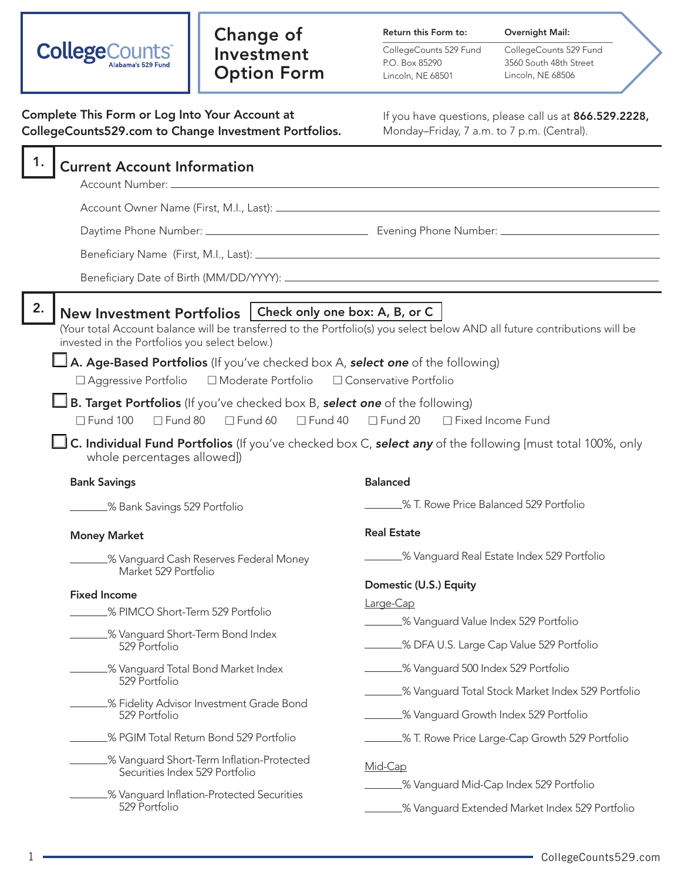| <b>CollegeCounts</b> | Alabama's 529 Fund |
|----------------------|--------------------|
|----------------------|--------------------|

# Change of Investment Option Form

Return this Form to:

CollegeCounts 529 Fund P.O. Box 85290 Lincoln, NE 68501

CollegeCounts 529 Fund 3560 South 48th Street Lincoln, NE 68506

Overnight Mail:

| Complete This Form or Log Into Your Account at<br>CollegeCounts529.com to Change Investment Portfolios.                                                                                                                                                                       | If you have questions, please call us at 866.529.2228,<br>Monday-Friday, 7 a.m. to 7 p.m. (Central).                                                                   |
|-------------------------------------------------------------------------------------------------------------------------------------------------------------------------------------------------------------------------------------------------------------------------------|------------------------------------------------------------------------------------------------------------------------------------------------------------------------|
| 1.<br><b>Current Account Information</b><br>Account Number: _                                                                                                                                                                                                                 | <u> 1980 - Johann Stein, mars an deutscher Stein und der Stein und der Stein und der Stein und der Stein und der</u>                                                   |
|                                                                                                                                                                                                                                                                               |                                                                                                                                                                        |
| 2.<br>New Investment Portfolios   Check only one box: A, B, or C<br>invested in the Portfolios you select below.)<br>A. Age-Based Portfolios (If you've checked box A, select one of the following)<br>□ Aggressive Portfolio  □ Moderate Portfolio  □ Conservative Portfolio | (Your total Account balance will be transferred to the Portfolio(s) you select below AND all future contributions will be                                              |
| <b>B. Target Portfolios</b> (If you've checked box B, select one of the following)<br>$\Box$ Fund 100<br>$\Box$ Fund 80 $\Box$ Fund 60<br>$\Box$ Fund 40<br>whole percentages allowed])<br><b>Bank Savings</b>                                                                | $\Box$ Fund 20<br>□ Fixed Income Fund<br>C. Individual Fund Portfolios (If you've checked box C, select any of the following [must total 100%, only<br><b>Balanced</b> |
| ______% Bank Savings 529 Portfolio                                                                                                                                                                                                                                            | 8 T. Rowe Price Balanced 529 Portfolio                                                                                                                                 |
| <b>Money Market</b><br>_% Vanguard Cash Reserves Federal Money<br>Market 529 Portfolio                                                                                                                                                                                        | <b>Real Estate</b><br>8 Vanguard Real Estate Index 529 Portfolio                                                                                                       |
| <b>Fixed Income</b><br>_% PIMCO Short-Term 529 Portfolio<br>.% Vanguard Short-Term Bond Index<br>529 Portfolio                                                                                                                                                                | Domestic (U.S.) Equity<br>Large-Cap<br>.% Vanguard Value Index 529 Portfolio<br>_% DFA U.S. Large Cap Value 529 Portfolio                                              |
| % Vanguard Total Bond Market Index<br>529 Portfolio                                                                                                                                                                                                                           | .% Vanguard 500 Index 529 Portfolio<br>% Vanguard Total Stock Market Index 529 Portfolio                                                                               |
| % Fidelity Advisor Investment Grade Bond<br>529 Portfolio                                                                                                                                                                                                                     | _% Vanguard Growth Index 529 Portfolio                                                                                                                                 |
| _% PGIM Total Return Bond 529 Portfolio<br>% Vanguard Short-Term Inflation-Protected<br>Securities Index 529 Portfolio                                                                                                                                                        | ______% T. Rowe Price Large-Cap Growth 529 Portfolio<br>Mid-Cap<br>.% Vanguard Mid-Cap Index 529 Portfolio                                                             |
| .% Vanguard Inflation-Protected Securities<br>529 Portfolio                                                                                                                                                                                                                   | % Vanguard Extended Market Index 529 Portfolio                                                                                                                         |